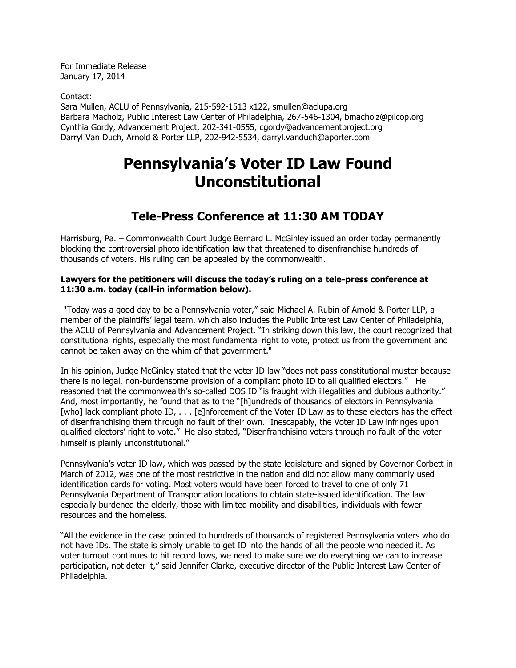For Immediate Release January 17, 2014

Contact:

Sara Mullen, ACLU of Pennsylvania, 215-592-1513 x122, smullen@aclupa.org Barbara Macholz, Public Interest Law Center of Philadelphia, 267-546-1304, bmacholz@pilcop.org Cynthia Gordy, Advancement Project, 202-341-0555, cgordy@advancementproject.org Darryl Van Duch, Arnold & Porter LLP, 202-942-5534, darryl.vanduch@aporter.com

## **Pennsylvania's Voter ID Law Found Unconstitutional**

## **Tele-Press Conference at 11:30 AM TODAY**

Harrisburg, Pa. – Commonwealth Court Judge Bernard L. McGinley issued an order today permanently blocking the controversial photo identification law that threatened to disenfranchise hundreds of thousands of voters. His ruling can be appealed by the commonwealth.

## **Lawyers for the petitioners will discuss the today's ruling on a tele-press conference at 11:30 a.m. today (call-in information below).**

"Today was a good day to be a Pennsylvania voter," said Michael A. Rubin of Arnold & Porter LLP, a member of the plaintiffs' legal team, which also includes the Public Interest Law Center of Philadelphia, the ACLU of Pennsylvania and Advancement Project. "In striking down this law, the court recognized that constitutional rights, especially the most fundamental right to vote, protect us from the government and cannot be taken away on the whim of that government."

In his opinion, Judge McGinley stated that the voter ID law "does not pass constitutional muster because there is no legal, non-burdensome provision of a compliant photo ID to all qualified electors." He reasoned that the commonwealth's so-called DOS ID "is fraught with illegalities and dubious authority." And, most importantly, he found that as to the "[h]undreds of thousands of electors in Pennsylvania [who] lack compliant photo ID, . . . [e]nforcement of the Voter ID Law as to these electors has the effect of disenfranchising them through no fault of their own. Inescapably, the Voter ID Law infringes upon qualified electors' right to vote." He also stated, "Disenfranchising voters through no fault of the voter himself is plainly unconstitutional."

Pennsylvania's voter ID law, which was passed by the state legislature and signed by Governor Corbett in March of 2012, was one of the most restrictive in the nation and did not allow many commonly used identification cards for voting. Most voters would have been forced to travel to one of only 71 Pennsylvania Department of Transportation locations to obtain state-issued identification. The law especially burdened the elderly, those with limited mobility and disabilities, individuals with fewer resources and the homeless.

"All the evidence in the case pointed to hundreds of thousands of registered Pennsylvania voters who do not have IDs. The state is simply unable to get ID into the hands of all the people who needed it. As voter turnout continues to hit record lows, we need to make sure we do everything we can to increase participation, not deter it," said Jennifer Clarke, executive director of the Public Interest Law Center of Philadelphia.